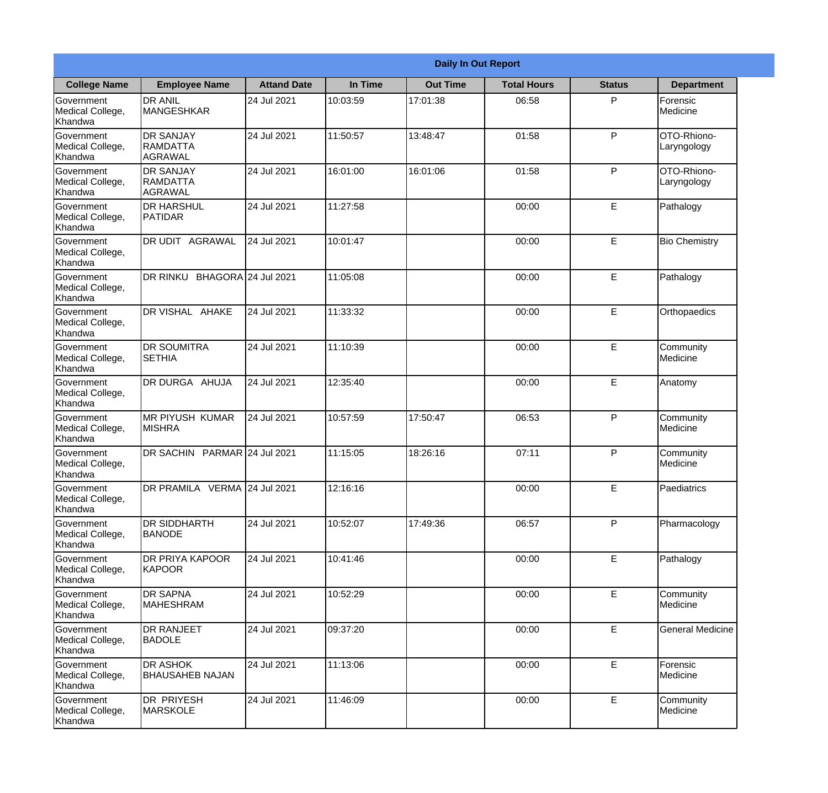|                                                  |                                                |                    |          | <b>Daily In Out Report</b> |                    |               |                            |
|--------------------------------------------------|------------------------------------------------|--------------------|----------|----------------------------|--------------------|---------------|----------------------------|
| <b>College Name</b>                              | <b>Employee Name</b>                           | <b>Attand Date</b> | In Time  | <b>Out Time</b>            | <b>Total Hours</b> | <b>Status</b> | <b>Department</b>          |
| Government<br>Medical College,<br>Khandwa        | <b>DR ANIL</b><br><b>MANGESHKAR</b>            | 24 Jul 2021        | 10:03:59 | 17:01:38                   | 06:58              | P             | Forensic<br>Medicine       |
| Government<br>Medical College,<br>Khandwa        | <b>DR SANJAY</b><br><b>RAMDATTA</b><br>AGRAWAL | 24 Jul 2021        | 11:50:57 | 13:48:47                   | 01:58              | P             | OTO-Rhiono-<br>Laryngology |
| <b>Government</b><br>Medical College,<br>Khandwa | <b>DR SANJAY</b><br><b>RAMDATTA</b><br>AGRAWAL | 24 Jul 2021        | 16:01:00 | 16:01:06                   | 01:58              | P             | OTO-Rhiono-<br>Laryngology |
| <b>Government</b><br>Medical College,<br>Khandwa | <b>DR HARSHUL</b><br>PATIDAR                   | 24 Jul 2021        | 11:27:58 |                            | 00:00              | E             | Pathalogy                  |
| Government<br>Medical College,<br>Khandwa        | <b>IDR UDIT AGRAWAL</b>                        | 24 Jul 2021        | 10:01:47 |                            | 00:00              | E             | <b>Bio Chemistry</b>       |
| Government<br>Medical College,<br>Khandwa        | DR RINKU BHAGORA 24 Jul 2021                   |                    | 11:05:08 |                            | 00:00              | $\mathsf E$   | Pathalogy                  |
| <b>Government</b><br>Medical College,<br>Khandwa | DR VISHAL AHAKE                                | 24 Jul 2021        | 11:33:32 |                            | 00:00              | E             | Orthopaedics               |
| <b>Government</b><br>Medical College,<br>Khandwa | <b>DR SOUMITRA</b><br><b>SETHIA</b>            | 24 Jul 2021        | 11:10:39 |                            | 00:00              | E             | Community<br>Medicine      |
| Government<br>Medical College,<br>Khandwa        | <b>DR DURGA AHUJA</b>                          | 24 Jul 2021        | 12:35:40 |                            | 00:00              | E             | Anatomy                    |
| Government<br>Medical College,<br>Khandwa        | <b>MR PIYUSH KUMAR</b><br><b>MISHRA</b>        | 24 Jul 2021        | 10:57:59 | 17:50:47                   | 06:53              | P             | Community<br>Medicine      |
| Government<br>Medical College,<br>Khandwa        | DR SACHIN PARMAR 24 Jul 2021                   |                    | 11:15:05 | 18:26:16                   | 07:11              | P             | Community<br>Medicine      |
| Government<br>Medical College,<br>Khandwa        | DR PRAMILA VERMA 24 Jul 2021                   |                    | 12:16:16 |                            | 00:00              | E             | Paediatrics                |
| Government<br>Medical College,<br>Khandwa        | <b>DR SIDDHARTH</b><br><b>BANODE</b>           | 24 Jul 2021        | 10:52:07 | 17:49:36                   | 06:57              | P             | Pharmacology               |
| Government<br>Medical College,<br>Khandwa        | <b>DR PRIYA KAPOOR</b><br>KAPOOR               | 24 Jul 2021        | 10:41:46 |                            | 00:00              | $\mathsf E$   | Pathalogy                  |
| Government<br>Medical College,<br>Khandwa        | <b>DR SAPNA</b><br><b>MAHESHRAM</b>            | 24 Jul 2021        | 10:52:29 |                            | 00:00              | E             | Community<br>Medicine      |
| Government<br>Medical College,<br>Khandwa        | <b>DR RANJEET</b><br><b>BADOLE</b>             | 24 Jul 2021        | 09:37:20 |                            | 00:00              | E             | <b>General Medicine</b>    |
| Government<br>Medical College,<br>Khandwa        | <b>DR ASHOK</b><br><b>BHAUSAHEB NAJAN</b>      | 24 Jul 2021        | 11:13:06 |                            | 00:00              | E             | Forensic<br>Medicine       |
| Government<br>Medical College,<br>Khandwa        | <b>DR PRIYESH</b><br>MARSKOLE                  | 24 Jul 2021        | 11:46:09 |                            | 00:00              | $\mathsf E$   | Community<br>Medicine      |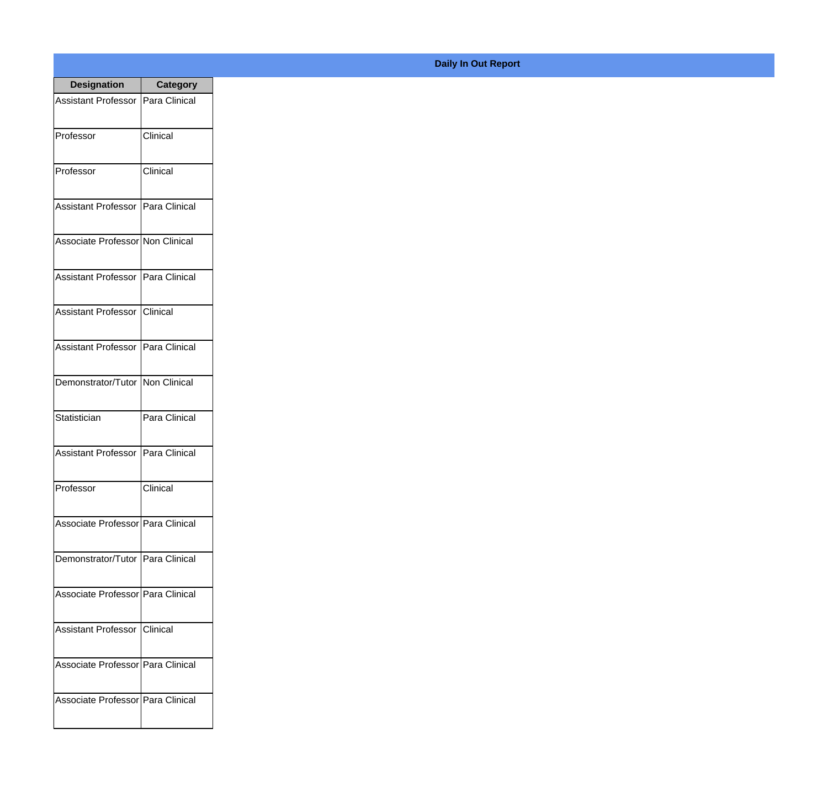| <b>Designation</b>                  | <b>Category</b> |
|-------------------------------------|-----------------|
| <b>Assistant Professor</b>          | Para Clinical   |
| Professor                           | Clinical        |
| Professor                           | Clinical        |
| Assistant Professor                 | Para Clinical   |
| Associate Professor Non Clinical    |                 |
| Assistant Professor   Para Clinical |                 |
| Assistant Professor   Clinical      |                 |
| Assistant Professor   Para Clinical |                 |
| Demonstrator/Tutor   Non Clinical   |                 |
| Statistician                        | Para Clinical   |
| <b>Assistant Professor</b>          | Para Clinical   |
| Professor                           | Clinical        |
| Associate Professor Para Clinical   |                 |
| Demonstrator/Tutor   Para Clinical  |                 |
| Associate Professor Para Clinical   |                 |
| <b>Assistant Professor</b>          | Clinical        |
| Associate Professor   Para Clinical |                 |
| Associate Professor   Para Clinical |                 |

## **Daily In Out Report**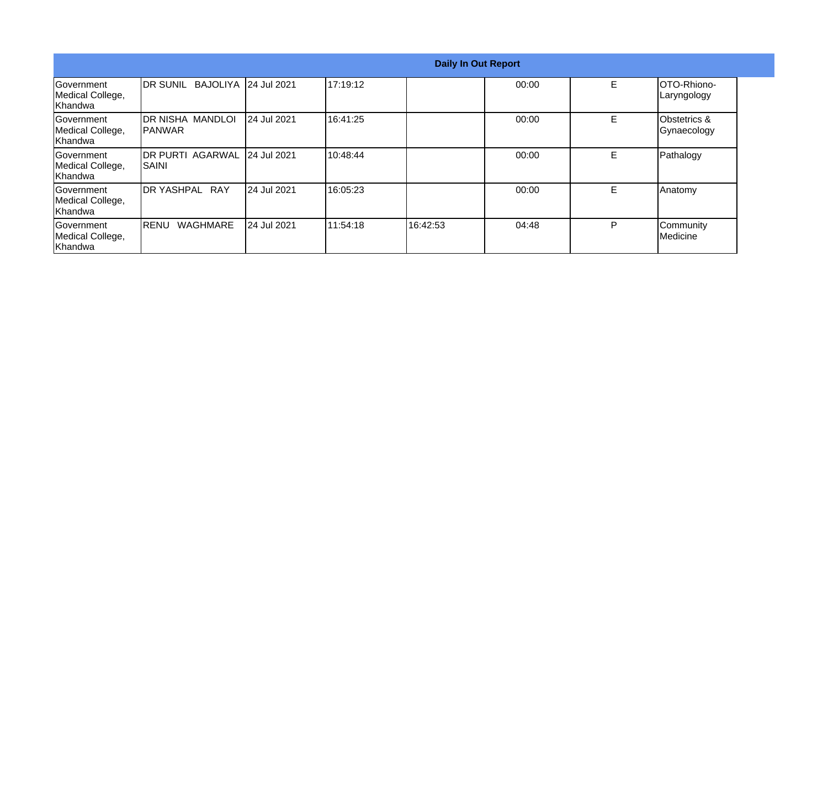|                                                  |                                           |                       | <b>Daily In Out Report</b> |          |       |   |                                    |
|--------------------------------------------------|-------------------------------------------|-----------------------|----------------------------|----------|-------|---|------------------------------------|
| Government<br>Medical College,<br>Khandwa        | <b>IDR SUNIL</b>                          | BAJOLIYA 124 Jul 2021 | 17:19:12                   |          | 00:00 | E | <b>IOTO-Rhiono-</b><br>Laryngology |
| Government<br>Medical College,<br>Khandwa        | <b>DR NISHA MANDLOI</b><br><b>IPANWAR</b> | 24 Jul 2021           | 16:41:25                   |          | 00:00 | E | Obstetrics &<br>Gynaecology        |
| <b>Sovernment</b><br>Medical College,<br>Khandwa | <b>IDR PURTI AGARWAL</b><br>ISAINI        | 24 Jul 2021           | 10:48:44                   |          | 00:00 | E | Pathalogy                          |
| Government<br>Medical College,<br>Khandwa        | <b>IDR YASHPAL RAY</b>                    | 24 Jul 2021           | 16:05:23                   |          | 00:00 | E | Anatomy                            |
| Government<br>Medical College,<br>Khandwa        | <b>WAGHMARE</b><br>IRENU                  | 24 Jul 2021           | 111:54:18                  | 16:42:53 | 04:48 | P | Community<br>Medicine              |